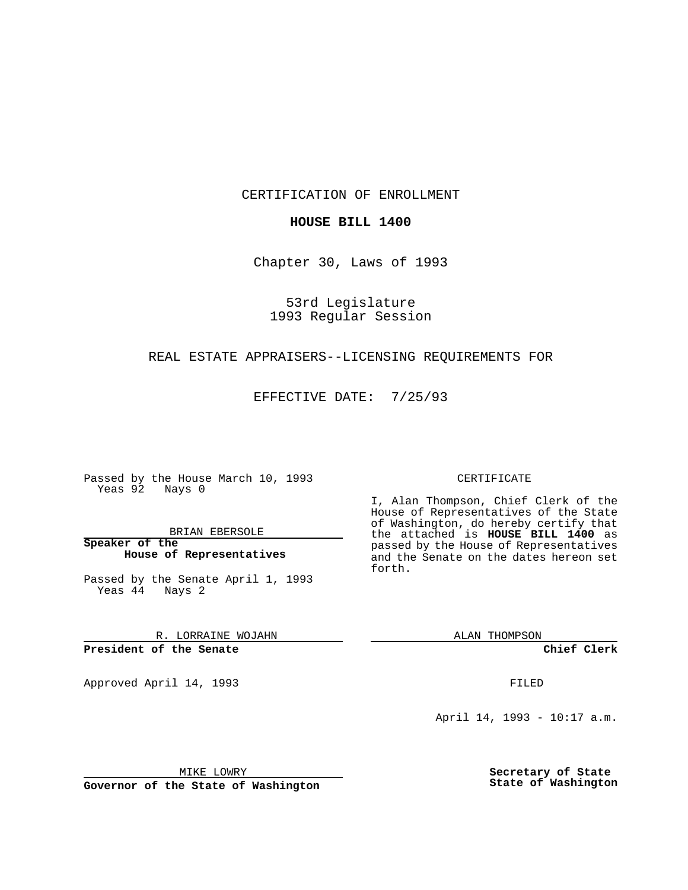CERTIFICATION OF ENROLLMENT

### **HOUSE BILL 1400**

Chapter 30, Laws of 1993

# 53rd Legislature 1993 Regular Session

### REAL ESTATE APPRAISERS--LICENSING REQUIREMENTS FOR

EFFECTIVE DATE: 7/25/93

Passed by the House March 10, 1993 Yeas 92 Nays 0

BRIAN EBERSOLE

**Speaker of the House of Representatives**

Passed by the Senate April 1, 1993 Yeas 44 Nays 2

R. LORRAINE WOJAHN

**President of the Senate**

Approved April 14, 1993 **FILED** 

#### CERTIFICATE

I, Alan Thompson, Chief Clerk of the House of Representatives of the State of Washington, do hereby certify that the attached is **HOUSE BILL 1400** as passed by the House of Representatives and the Senate on the dates hereon set forth.

ALAN THOMPSON

**Chief Clerk**

April 14, 1993 - 10:17 a.m.

MIKE LOWRY

**Governor of the State of Washington**

**Secretary of State State of Washington**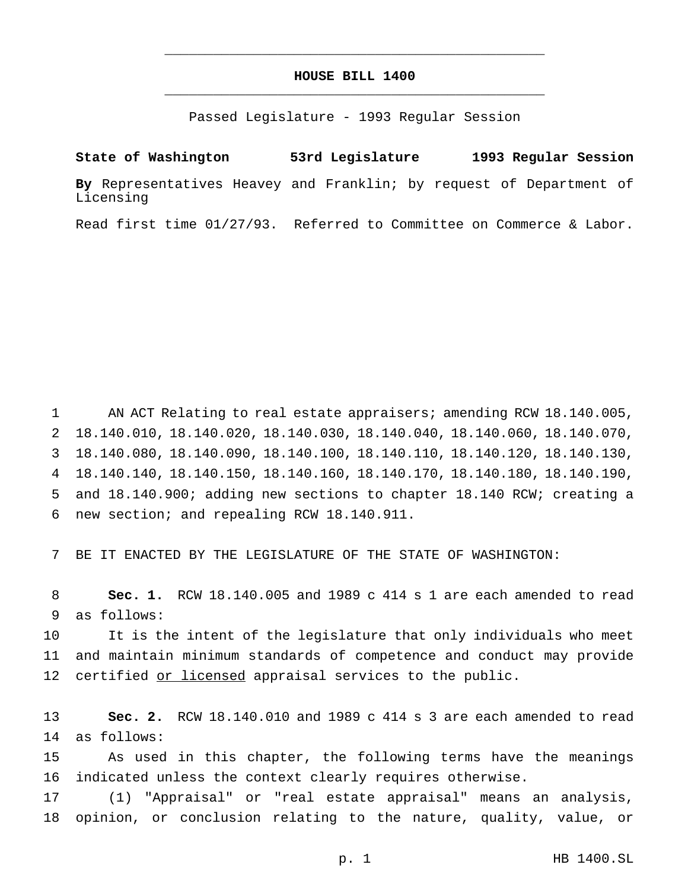# **HOUSE BILL 1400** \_\_\_\_\_\_\_\_\_\_\_\_\_\_\_\_\_\_\_\_\_\_\_\_\_\_\_\_\_\_\_\_\_\_\_\_\_\_\_\_\_\_\_\_\_\_\_

\_\_\_\_\_\_\_\_\_\_\_\_\_\_\_\_\_\_\_\_\_\_\_\_\_\_\_\_\_\_\_\_\_\_\_\_\_\_\_\_\_\_\_\_\_\_\_

Passed Legislature - 1993 Regular Session

# **State of Washington 53rd Legislature 1993 Regular Session**

**By** Representatives Heavey and Franklin; by request of Department of Licensing

Read first time 01/27/93. Referred to Committee on Commerce & Labor.

 AN ACT Relating to real estate appraisers; amending RCW 18.140.005, 18.140.010, 18.140.020, 18.140.030, 18.140.040, 18.140.060, 18.140.070, 18.140.080, 18.140.090, 18.140.100, 18.140.110, 18.140.120, 18.140.130, 18.140.140, 18.140.150, 18.140.160, 18.140.170, 18.140.180, 18.140.190, and 18.140.900; adding new sections to chapter 18.140 RCW; creating a new section; and repealing RCW 18.140.911.

BE IT ENACTED BY THE LEGISLATURE OF THE STATE OF WASHINGTON:

 **Sec. 1.** RCW 18.140.005 and 1989 c 414 s 1 are each amended to read as follows:

 It is the intent of the legislature that only individuals who meet and maintain minimum standards of competence and conduct may provide 12 certified or licensed appraisal services to the public.

 **Sec. 2.** RCW 18.140.010 and 1989 c 414 s 3 are each amended to read as follows:

 As used in this chapter, the following terms have the meanings indicated unless the context clearly requires otherwise.

 (1) "Appraisal" or "real estate appraisal" means an analysis, opinion, or conclusion relating to the nature, quality, value, or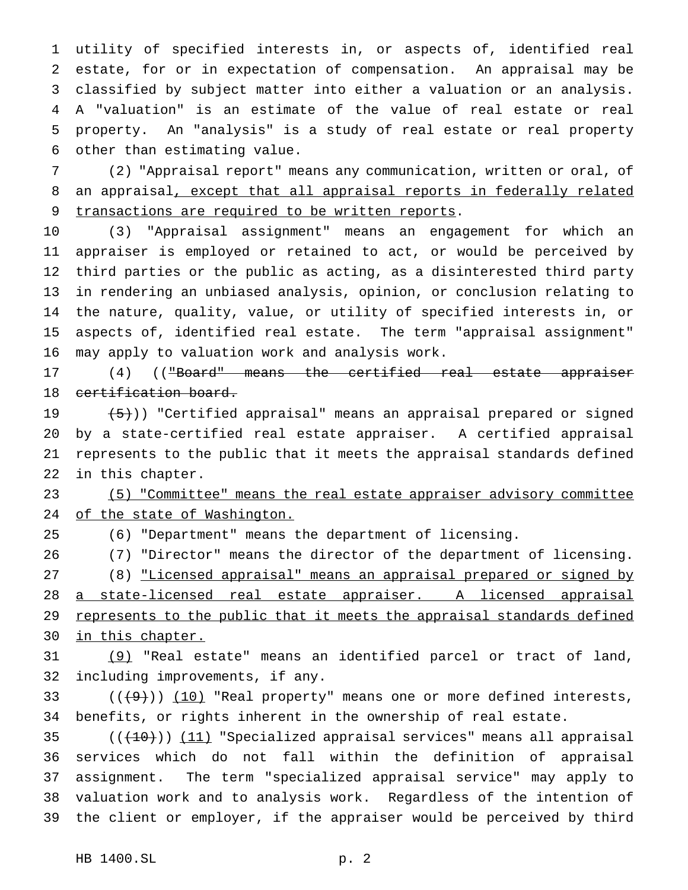utility of specified interests in, or aspects of, identified real estate, for or in expectation of compensation. An appraisal may be classified by subject matter into either a valuation or an analysis. A "valuation" is an estimate of the value of real estate or real property. An "analysis" is a study of real estate or real property other than estimating value.

 (2) "Appraisal report" means any communication, written or oral, of 8 an appraisal, except that all appraisal reports in federally related 9 transactions are required to be written reports.

 (3) "Appraisal assignment" means an engagement for which an appraiser is employed or retained to act, or would be perceived by third parties or the public as acting, as a disinterested third party in rendering an unbiased analysis, opinion, or conclusion relating to the nature, quality, value, or utility of specified interests in, or aspects of, identified real estate. The term "appraisal assignment" may apply to valuation work and analysis work.

17 (4) (("Board" means the certified real estate appraiser 18 certification board.

 $(5)$ )) "Certified appraisal" means an appraisal prepared or signed by a state-certified real estate appraiser. A certified appraisal represents to the public that it meets the appraisal standards defined in this chapter.

 (5) "Committee" means the real estate appraiser advisory committee of the state of Washington.

(6) "Department" means the department of licensing.

 (7) "Director" means the director of the department of licensing. 27 (8) "Licensed appraisal" means an appraisal prepared or signed by 28 a state-licensed real estate appraiser. A licensed appraisal 29 represents to the public that it meets the appraisal standards defined 30 in this chapter.

 (9) "Real estate" means an identified parcel or tract of land, including improvements, if any.

33  $((+9))$   $(10)$  "Real property" means one or more defined interests, benefits, or rights inherent in the ownership of real estate.

 $((+10))$  (11) "Specialized appraisal services" means all appraisal services which do not fall within the definition of appraisal assignment. The term "specialized appraisal service" may apply to valuation work and to analysis work. Regardless of the intention of the client or employer, if the appraiser would be perceived by third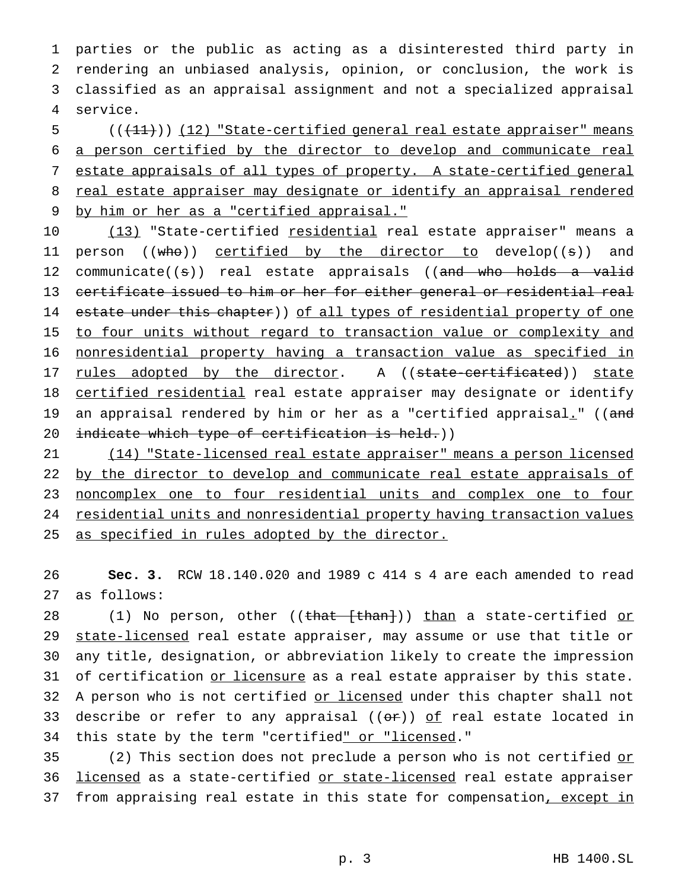parties or the public as acting as a disinterested third party in rendering an unbiased analysis, opinion, or conclusion, the work is classified as an appraisal assignment and not a specialized appraisal 4 service.

5 (( $(11)$ )) (12) "State-certified general real estate appraiser" means 6 a person certified by the director to develop and communicate real 7 estate appraisals of all types of property. A state-certified general 8 real estate appraiser may designate or identify an appraisal rendered 9 by him or her as a "certified appraisal."

10 (13) "State-certified residential real estate appraiser" means a 11 person ((who)) certified by the director to develop((s)) and 12 communicate((s)) real estate appraisals ((and who holds a valid 13 certificate issued to him or her for either general or residential real 14 estate under this chapter)) of all types of residential property of one 15 to four units without regard to transaction value or complexity and 16 nonresidential property having a transaction value as specified in 17 rules adopted by the director. A ((state-certificated)) state 18 certified residential real estate appraiser may designate or identify 19 an appraisal rendered by him or her as a "certified appraisal." ((and 20 indicate which type of certification is held.))

21 (14) "State-licensed real estate appraiser" means a person licensed 22 by the director to develop and communicate real estate appraisals of 23 noncomplex one to four residential units and complex one to four 24 residential units and nonresidential property having transaction values 25 as specified in rules adopted by the director.

26 **Sec. 3.** RCW 18.140.020 and 1989 c 414 s 4 are each amended to read 27 as follows:

28 (1) No person, other ((<del>that [than]</del>)) <u>than</u> a state-certified <u>or</u> 29 state-licensed real estate appraiser, may assume or use that title or 30 any title, designation, or abbreviation likely to create the impression 31 of certification or licensure as a real estate appraiser by this state. 32 A person who is not certified or licensed under this chapter shall not 33 describe or refer to any appraisal  $((or))$  of real estate located in 34 this state by the term "certified" or "licensed."

35 (2) This section does not preclude a person who is not certified or 36 licensed as a state-certified or state-licensed real estate appraiser 37 from appraising real estate in this state for compensation, except in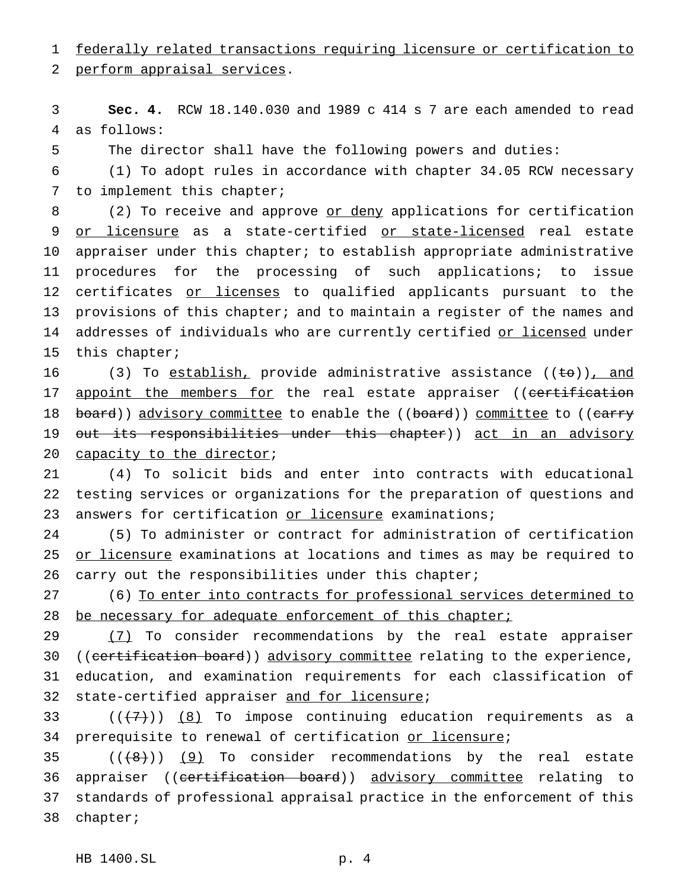1 federally related transactions requiring licensure or certification to

2 perform appraisal services.

3 **Sec. 4.** RCW 18.140.030 and 1989 c 414 s 7 are each amended to read 4 as follows:

5 The director shall have the following powers and duties:

6 (1) To adopt rules in accordance with chapter 34.05 RCW necessary 7 to implement this chapter;

8 (2) To receive and approve or deny applications for certification 9 or licensure as a state-certified or state-licensed real estate 10 appraiser under this chapter; to establish appropriate administrative 11 procedures for the processing of such applications; to issue 12 certificates or licenses to qualified applicants pursuant to the 13 provisions of this chapter; and to maintain a register of the names and 14 addresses of individuals who are currently certified or licensed under 15 this chapter;

16 (3) To establish, provide administrative assistance ((to)), and 17 appoint the members for the real estate appraiser ((certification 18 board)) advisory committee to enable the ((board)) committee to ((carry 19 <del>out its responsibilities under this chapter</del>)) act in an advisory 20 capacity to the director;

21 (4) To solicit bids and enter into contracts with educational 22 testing services or organizations for the preparation of questions and 23 answers for certification or licensure examinations;

24 (5) To administer or contract for administration of certification 25 or licensure examinations at locations and times as may be required to 26 carry out the responsibilities under this chapter;

27 (6) To enter into contracts for professional services determined to 28 be necessary for adequate enforcement of this chapter;

29 (7) To consider recommendations by the real estate appraiser 30 ((certification board)) advisory committee relating to the experience, 31 education, and examination requirements for each classification of 32 state-certified appraiser and for licensure;

33 ( $(\overline{+7})$ )  $\overline{8}$  To impose continuing education requirements as a 34 prerequisite to renewal of certification or licensure;

35  $((+8))$  (9) To consider recommendations by the real estate 36 appraiser ((certification board)) advisory committee relating to 37 standards of professional appraisal practice in the enforcement of this 38 chapter;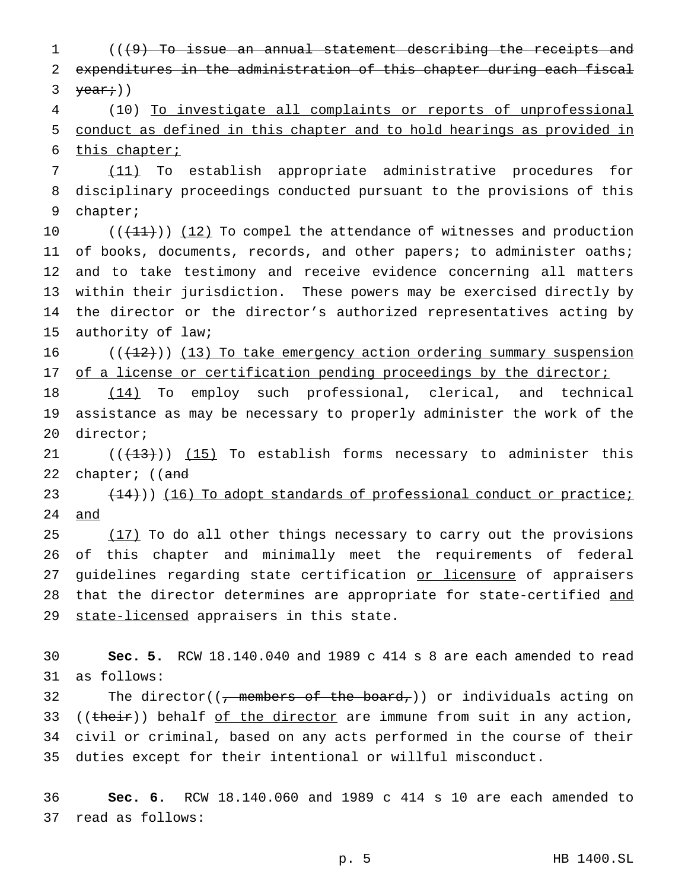(((9) To issue an annual statement describing the receipts and expenditures in the administration of this chapter during each fiscal  $\text{year}$ ;))

 (10) To investigate all complaints or reports of unprofessional conduct as defined in this chapter and to hold hearings as provided in this chapter;

 (11) To establish appropriate administrative procedures for disciplinary proceedings conducted pursuant to the provisions of this chapter;

 $((+11))$   $(12)$  To compel the attendance of witnesses and production 11 of books, documents, records, and other papers; to administer oaths; and to take testimony and receive evidence concerning all matters within their jurisdiction. These powers may be exercised directly by the director or the director's authorized representatives acting by authority of law;

 $((+12))$  (13) To take emergency action ordering summary suspension 17 of a license or certification pending proceedings by the director;

 (14) To employ such professional, clerical, and technical assistance as may be necessary to properly administer the work of the director;

 $((+13))$   $(15)$  To establish forms necessary to administer this 22 chapter; ((and

23 (14))) (16) To adopt standards of professional conduct or practice; and

 $(17)$  To do all other things necessary to carry out the provisions of this chapter and minimally meet the requirements of federal 27 guidelines regarding state certification or licensure of appraisers that the director determines are appropriate for state-certified and 29 state-licensed appraisers in this state.

 **Sec. 5.** RCW 18.140.040 and 1989 c 414 s 8 are each amended to read as follows:

32 The director(( $\tau$  members of the board,)) or individuals acting on 33 (( $t$ heir)) behalf of the director are immune from suit in any action, civil or criminal, based on any acts performed in the course of their duties except for their intentional or willful misconduct.

 **Sec. 6.** RCW 18.140.060 and 1989 c 414 s 10 are each amended to read as follows: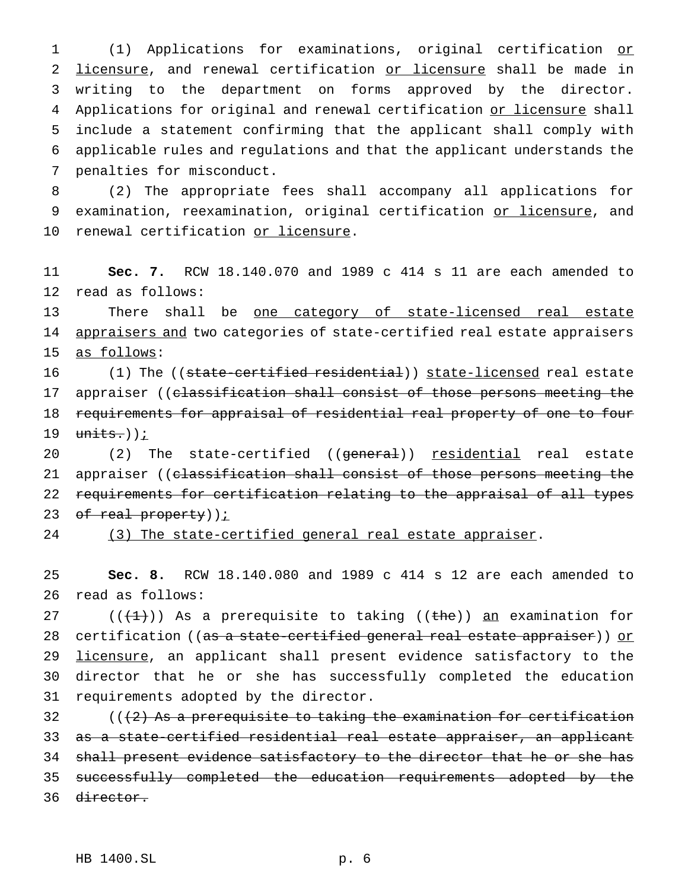(1) Applications for examinations, original certification or 2 licensure, and renewal certification or licensure shall be made in writing to the department on forms approved by the director. 4 Applications for original and renewal certification or licensure shall include a statement confirming that the applicant shall comply with applicable rules and regulations and that the applicant understands the penalties for misconduct.

8 (2) The appropriate fees shall accompany all applications for 9 examination, reexamination, original certification or licensure, and 10 renewal certification or licensure.

11 **Sec. 7.** RCW 18.140.070 and 1989 c 414 s 11 are each amended to 12 read as follows:

13 There shall be one category of state-licensed real estate 14 appraisers and two categories of state-certified real estate appraisers 15 as follows:

16 (1) The ((<del>state-certified residential</del>)) <u>state-licensed</u> real estate 17 appraiser ((classification shall consist of those persons meeting the 18 requirements for appraisal of residential real property of one to four 19  $units.)$  ) ;

20 (2) The state-certified ((general)) <u>residential</u> real estate 21 appraiser ((classification shall consist of those persons meeting the 22 requirements for certification relating to the appraisal of all types 23 of real property)) $i$ 

24 (3) The state-certified general real estate appraiser.

25 **Sec. 8.** RCW 18.140.080 and 1989 c 414 s 12 are each amended to 26 read as follows:

27 ( $(\frac{1}{1})$ ) As a prerequisite to taking ((the)) an examination for 28 certification ((as a state-certified general real estate appraiser)) or 29 licensure, an applicant shall present evidence satisfactory to the 30 director that he or she has successfully completed the education 31 requirements adopted by the director.

 ( $(2)$  As a prerequisite to taking the examination for certification as a state-certified residential real estate appraiser, an applicant 34 shall present evidence satisfactory to the director that he or she has successfully completed the education requirements adopted by the director.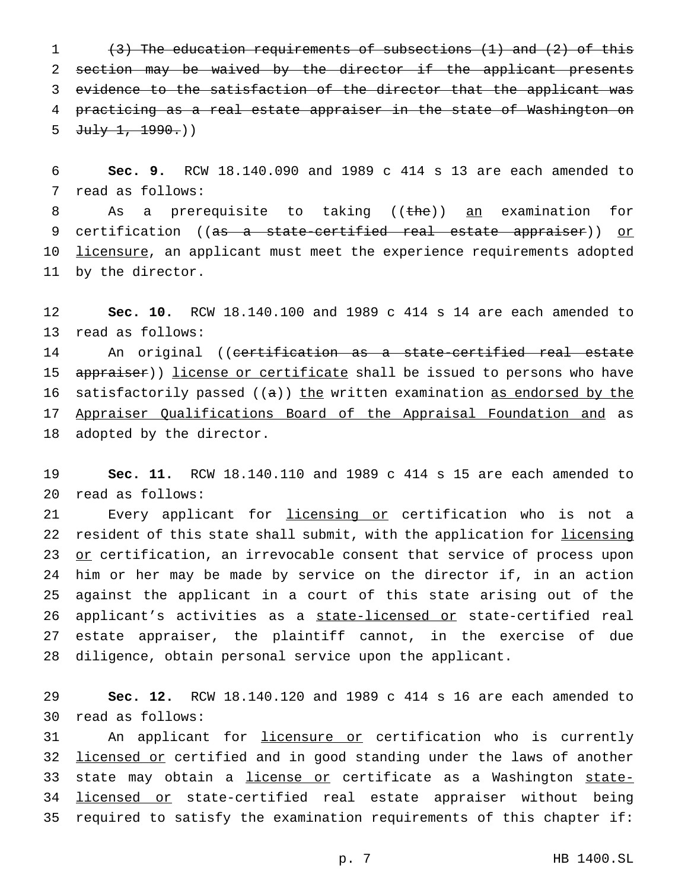(3) The education requirements of subsections (1) and (2) of this 2 section may be waived by the director if the applicant presents evidence to the satisfaction of the director that the applicant was practicing as a real estate appraiser in the state of Washington on  $July$  1, 1990.)

6 **Sec. 9.** RCW 18.140.090 and 1989 c 414 s 13 are each amended to 7 read as follows:

8 As a prerequisite to taking ((the)) an examination for 9 certification ((<del>as a state-certified real estate appraiser</del>)) <u>or</u> 10 <u>licensure</u>, an applicant must meet the experience requirements adopted 11 by the director.

12 **Sec. 10.** RCW 18.140.100 and 1989 c 414 s 14 are each amended to 13 read as follows:

14 An original ((certification as a state-certified real estate 15 appraiser)) license or certificate shall be issued to persons who have 16 satisfactorily passed  $((a))$  the written examination as endorsed by the 17 Appraiser Qualifications Board of the Appraisal Foundation and as 18 adopted by the director.

19 **Sec. 11.** RCW 18.140.110 and 1989 c 414 s 15 are each amended to 20 read as follows:

21 Every applicant for licensing or certification who is not a 22 resident of this state shall submit, with the application for licensing 23 or certification, an irrevocable consent that service of process upon 24 him or her may be made by service on the director if, in an action 25 against the applicant in a court of this state arising out of the 26 applicant's activities as a state-licensed or state-certified real 27 estate appraiser, the plaintiff cannot, in the exercise of due 28 diligence, obtain personal service upon the applicant.

29 **Sec. 12.** RCW 18.140.120 and 1989 c 414 s 16 are each amended to 30 read as follows:

31 An applicant for licensure or certification who is currently 32 licensed or certified and in good standing under the laws of another 33 state may obtain a *license or* certificate as a Washington state-34 licensed or state-certified real estate appraiser without being 35 required to satisfy the examination requirements of this chapter if: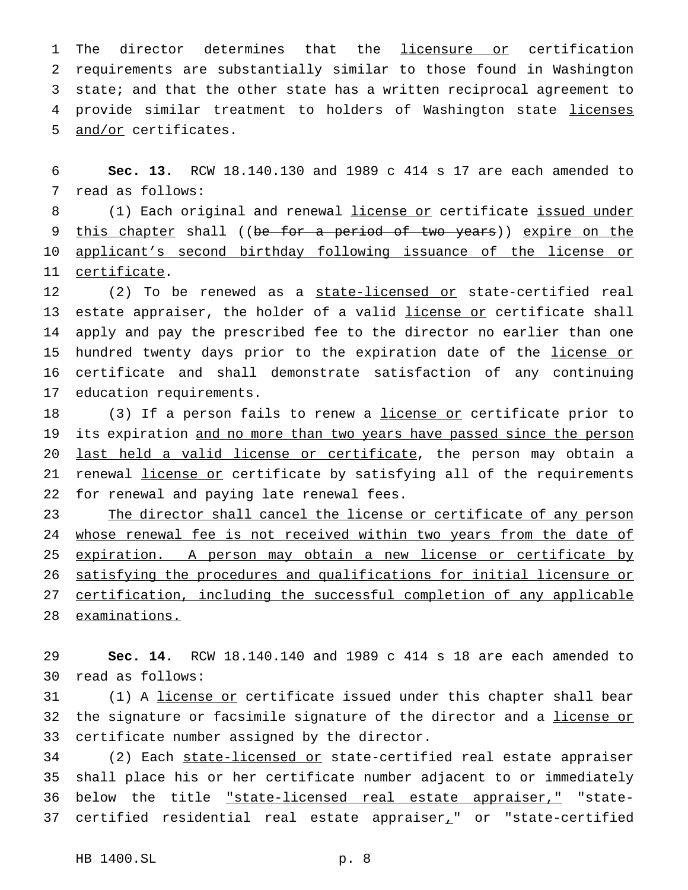1 The director determines that the licensure or certification 2 requirements are substantially similar to those found in Washington 3 state; and that the other state has a written reciprocal agreement to 4 provide similar treatment to holders of Washington state licenses 5 and/or certificates.

6 **Sec. 13.** RCW 18.140.130 and 1989 c 414 s 17 are each amended to 7 read as follows:

8 (1) Each original and renewal license or certificate issued under 9 <u>this chapter</u> shall ((<del>be for a period of two years</del>)) expire on the 10 applicant's second birthday following issuance of the license or 11 certificate.

 (2) To be renewed as a state-licensed or state-certified real 13 estate appraiser, the holder of a valid license or certificate shall apply and pay the prescribed fee to the director no earlier than one 15 hundred twenty days prior to the expiration date of the license or certificate and shall demonstrate satisfaction of any continuing education requirements.

18 (3) If a person fails to renew a license or certificate prior to 19 its expiration and no more than two years have passed since the person 20 last held a valid license or certificate, the person may obtain a 21 renewal license or certificate by satisfying all of the requirements 22 for renewal and paying late renewal fees.

23 The director shall cancel the license or certificate of any person 24 whose renewal fee is not received within two years from the date of expiration. A person may obtain a new license or certificate by satisfying the procedures and qualifications for initial licensure or certification, including the successful completion of any applicable examinations.

29 **Sec. 14.** RCW 18.140.140 and 1989 c 414 s 18 are each amended to 30 read as follows:

31 (1) A license or certificate issued under this chapter shall bear 32 the signature or facsimile signature of the director and a license or 33 certificate number assigned by the director.

34 (2) Each state-licensed or state-certified real estate appraiser 35 shall place his or her certificate number adjacent to or immediately 36 below the title *"state-licensed real estate appraiser*," "state-37 certified residential real estate appraiser $<sub>r</sub>$ " or "state-certified</sub>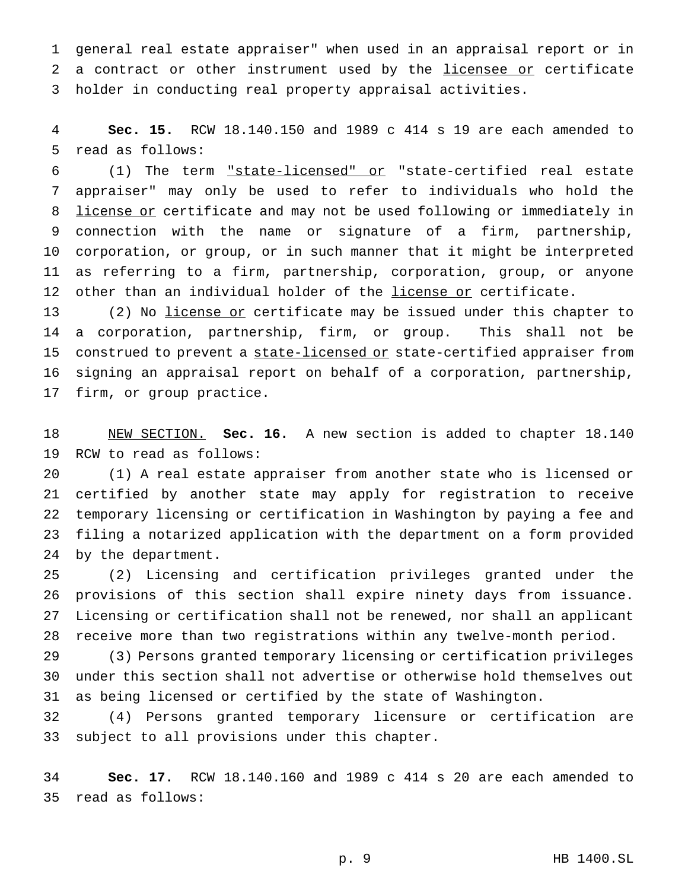general real estate appraiser" when used in an appraisal report or in 2 a contract or other instrument used by the licensee or certificate holder in conducting real property appraisal activities.

 **Sec. 15.** RCW 18.140.150 and 1989 c 414 s 19 are each amended to read as follows:

 (1) The term "state-licensed" or "state-certified real estate appraiser" may only be used to refer to individuals who hold the 8 license or certificate and may not be used following or immediately in connection with the name or signature of a firm, partnership, corporation, or group, or in such manner that it might be interpreted as referring to a firm, partnership, corporation, group, or anyone 12 other than an individual holder of the license or certificate.

13 (2) No license or certificate may be issued under this chapter to a corporation, partnership, firm, or group. This shall not be 15 construed to prevent a state-licensed or state-certified appraiser from signing an appraisal report on behalf of a corporation, partnership, firm, or group practice.

 NEW SECTION. **Sec. 16.** A new section is added to chapter 18.140 RCW to read as follows:

 (1) A real estate appraiser from another state who is licensed or certified by another state may apply for registration to receive temporary licensing or certification in Washington by paying a fee and filing a notarized application with the department on a form provided by the department.

 (2) Licensing and certification privileges granted under the provisions of this section shall expire ninety days from issuance. Licensing or certification shall not be renewed, nor shall an applicant receive more than two registrations within any twelve-month period.

 (3) Persons granted temporary licensing or certification privileges under this section shall not advertise or otherwise hold themselves out as being licensed or certified by the state of Washington.

 (4) Persons granted temporary licensure or certification are subject to all provisions under this chapter.

 **Sec. 17.** RCW 18.140.160 and 1989 c 414 s 20 are each amended to read as follows: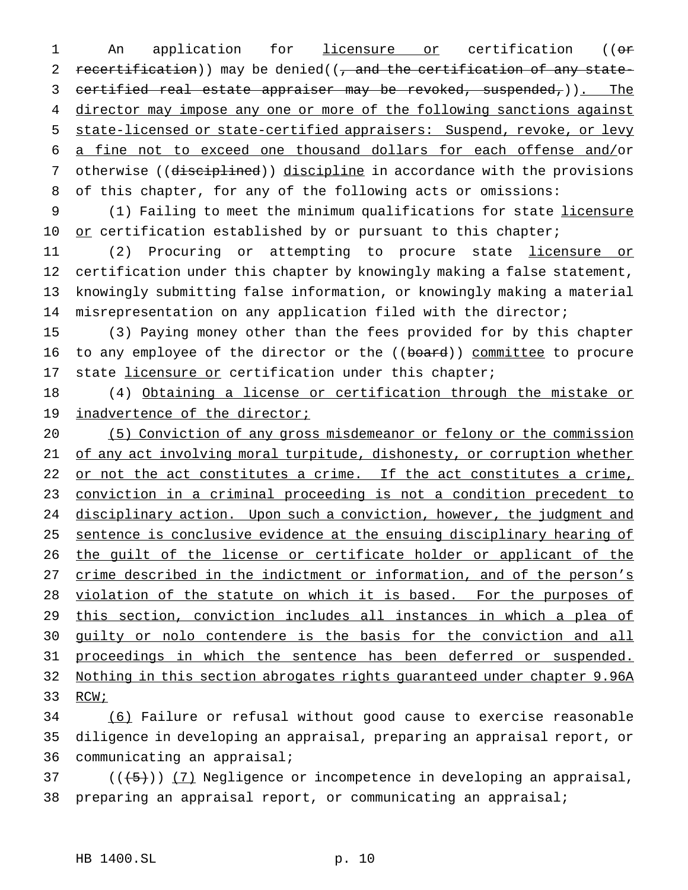1 An application for licensure or certification ((or 2 recertification)) may be denied((, and the certification of any state-3 certified real estate appraiser may be revoked, suspended, )). The 4 director may impose any one or more of the following sanctions against 5 state-licensed or state-certified appraisers: Suspend, revoke, or levy 6 a fine not to exceed one thousand dollars for each offense and/or 7 otherwise ((disciplined)) discipline in accordance with the provisions 8 of this chapter, for any of the following acts or omissions:

9 (1) Failing to meet the minimum qualifications for state licensure 10 or certification established by or pursuant to this chapter;

11 (2) Procuring or attempting to procure state licensure or certification under this chapter by knowingly making a false statement, knowingly submitting false information, or knowingly making a material misrepresentation on any application filed with the director;

15 (3) Paying money other than the fees provided for by this chapter 16 to any employee of the director or the ((board)) committee to procure 17 state *licensure or* certification under this chapter;

18 (4) Obtaining a license or certification through the mistake or 19 inadvertence of the director;

20 (5) Conviction of any gross misdemeanor or felony or the commission 21 of any act involving moral turpitude, dishonesty, or corruption whether 22 or not the act constitutes a crime. If the act constitutes a crime, 23 conviction in a criminal proceeding is not a condition precedent to 24 disciplinary action. Upon such a conviction, however, the judgment and 25 sentence is conclusive evidence at the ensuing disciplinary hearing of 26 the guilt of the license or certificate holder or applicant of the 27 crime described in the indictment or information, and of the person's 28 violation of the statute on which it is based. For the purposes of 29 this section, conviction includes all instances in which a plea of 30 guilty or nolo contendere is the basis for the conviction and all 31 proceedings in which the sentence has been deferred or suspended. 32 Nothing in this section abrogates rights guaranteed under chapter 9.96A 33 RCW;

34 (6) Failure or refusal without good cause to exercise reasonable 35 diligence in developing an appraisal, preparing an appraisal report, or 36 communicating an appraisal;

 $37$  ( $(\overline{\smash{+5}})$ ) (7) Negligence or incompetence in developing an appraisal, 38 preparing an appraisal report, or communicating an appraisal;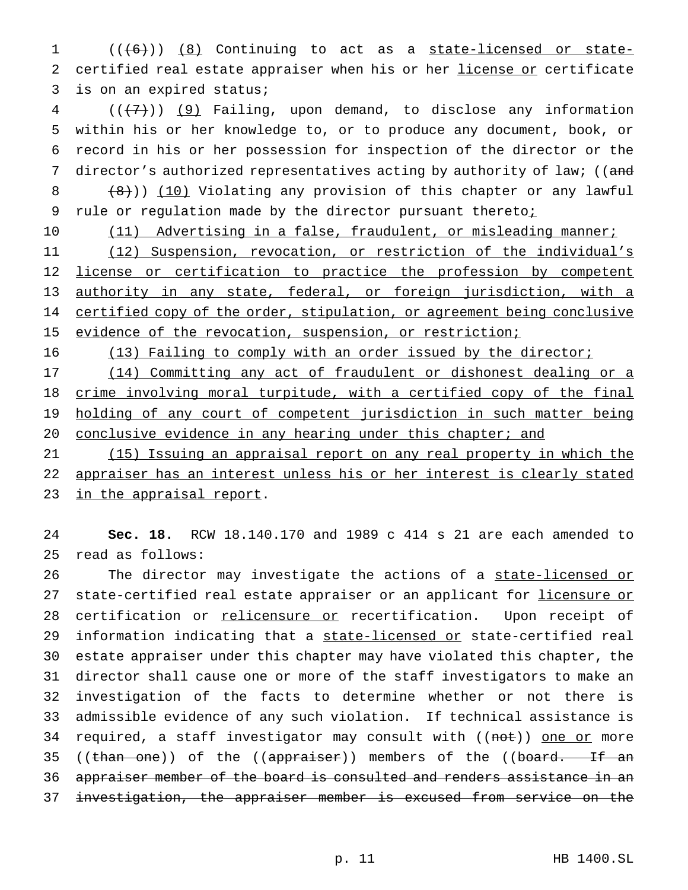1 (((6)) (8) Continuing to act as a state-licensed or state-2 certified real estate appraiser when his or her license or certificate 3 is on an expired status;

 $4$   $((+7))$   $(9)$  Failing, upon demand, to disclose any information 5 within his or her knowledge to, or to produce any document, book, or 6 record in his or her possession for inspection of the director or the 7 director's authorized representatives acting by authority of law; ((and 8 (8))) (10) Violating any provision of this chapter or any lawful 9 rule or regulation made by the director pursuant theretoi

10 (11) Advertising in a false, fraudulent, or misleading manner;

11 (12) Suspension, revocation, or restriction of the individual's 12 license or certification to practice the profession by competent 13 authority in any state, federal, or foreign jurisdiction, with a 14 certified copy of the order, stipulation, or agreement being conclusive 15 evidence of the revocation, suspension, or restriction;

16 (13) Failing to comply with an order issued by the director;

17 (14) Committing any act of fraudulent or dishonest dealing or a 18 crime involving moral turpitude, with a certified copy of the final 19 holding of any court of competent jurisdiction in such matter being 20 conclusive evidence in any hearing under this chapter; and

21 (15) Issuing an appraisal report on any real property in which the 22 appraiser has an interest unless his or her interest is clearly stated 23 in the appraisal report.

24 **Sec. 18.** RCW 18.140.170 and 1989 c 414 s 21 are each amended to 25 read as follows:

26 The director may investigate the actions of a state-licensed or 27 state-certified real estate appraiser or an applicant for licensure or 28 certification or relicensure or recertification. Upon receipt of 29 information indicating that a state-licensed or state-certified real 30 estate appraiser under this chapter may have violated this chapter, the 31 director shall cause one or more of the staff investigators to make an 32 investigation of the facts to determine whether or not there is 33 admissible evidence of any such violation. If technical assistance is 34 required, a staff investigator may consult with ((not)) one or more 35 ((than one)) of the ((appraiser)) members of the ((board. If an 36 appraiser member of the board is consulted and renders assistance in an 37 investigation, the appraiser member is excused from service on the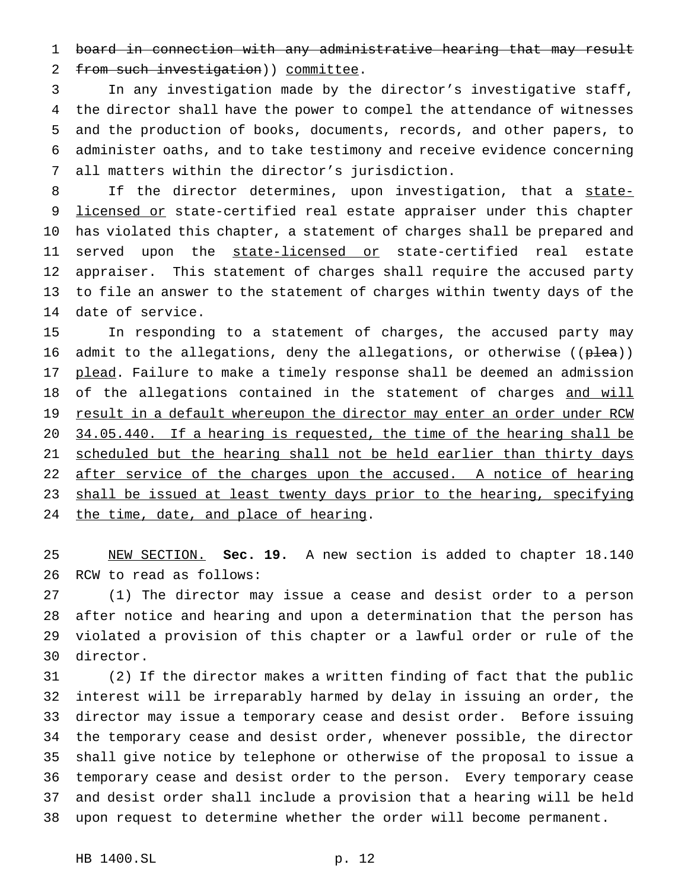board in connection with any administrative hearing that may result 2 from such investigation) ) committee.

 In any investigation made by the director's investigative staff, the director shall have the power to compel the attendance of witnesses and the production of books, documents, records, and other papers, to administer oaths, and to take testimony and receive evidence concerning all matters within the director's jurisdiction.

8 If the director determines, upon investigation, that a state-9 licensed or state-certified real estate appraiser under this chapter has violated this chapter, a statement of charges shall be prepared and 11 served upon the state-licensed or state-certified real estate appraiser. This statement of charges shall require the accused party to file an answer to the statement of charges within twenty days of the date of service.

 In responding to a statement of charges, the accused party may 16 admit to the allegations, deny the allegations, or otherwise (( $\theta$ lea)) 17 plead. Failure to make a timely response shall be deemed an admission 18 of the allegations contained in the statement of charges and will 19 result in a default whereupon the director may enter an order under RCW 20 34.05.440. If a hearing is requested, the time of the hearing shall be 21 scheduled but the hearing shall not be held earlier than thirty days 22 after service of the charges upon the accused. A notice of hearing 23 shall be issued at least twenty days prior to the hearing, specifying 24 the time, date, and place of hearing.

 NEW SECTION. **Sec. 19.** A new section is added to chapter 18.140 RCW to read as follows:

 (1) The director may issue a cease and desist order to a person after notice and hearing and upon a determination that the person has violated a provision of this chapter or a lawful order or rule of the director.

 (2) If the director makes a written finding of fact that the public interest will be irreparably harmed by delay in issuing an order, the director may issue a temporary cease and desist order. Before issuing the temporary cease and desist order, whenever possible, the director shall give notice by telephone or otherwise of the proposal to issue a temporary cease and desist order to the person. Every temporary cease and desist order shall include a provision that a hearing will be held upon request to determine whether the order will become permanent.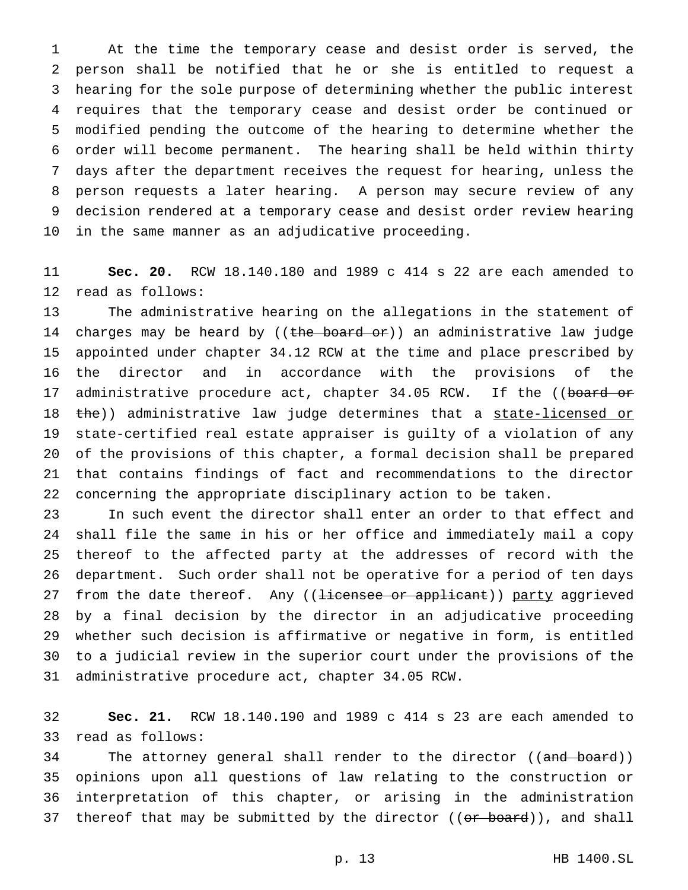At the time the temporary cease and desist order is served, the person shall be notified that he or she is entitled to request a hearing for the sole purpose of determining whether the public interest requires that the temporary cease and desist order be continued or modified pending the outcome of the hearing to determine whether the order will become permanent. The hearing shall be held within thirty days after the department receives the request for hearing, unless the person requests a later hearing. A person may secure review of any decision rendered at a temporary cease and desist order review hearing in the same manner as an adjudicative proceeding.

 **Sec. 20.** RCW 18.140.180 and 1989 c 414 s 22 are each amended to read as follows:

 The administrative hearing on the allegations in the statement of 14 charges may be heard by ((the board or)) an administrative law judge appointed under chapter 34.12 RCW at the time and place prescribed by the director and in accordance with the provisions of the 17 administrative procedure act, chapter 34.05 RCW. If the ((board or 18 the)) administrative law judge determines that a state-licensed or state-certified real estate appraiser is guilty of a violation of any of the provisions of this chapter, a formal decision shall be prepared that contains findings of fact and recommendations to the director concerning the appropriate disciplinary action to be taken.

 In such event the director shall enter an order to that effect and shall file the same in his or her office and immediately mail a copy thereof to the affected party at the addresses of record with the department. Such order shall not be operative for a period of ten days 27 from the date thereof. Any ((<del>licensee or applicant</del>)) party aggrieved by a final decision by the director in an adjudicative proceeding whether such decision is affirmative or negative in form, is entitled to a judicial review in the superior court under the provisions of the administrative procedure act, chapter 34.05 RCW.

 **Sec. 21.** RCW 18.140.190 and 1989 c 414 s 23 are each amended to read as follows:

34 The attorney general shall render to the director ((and board)) opinions upon all questions of law relating to the construction or interpretation of this chapter, or arising in the administration 37 thereof that may be submitted by the director ((or board)), and shall